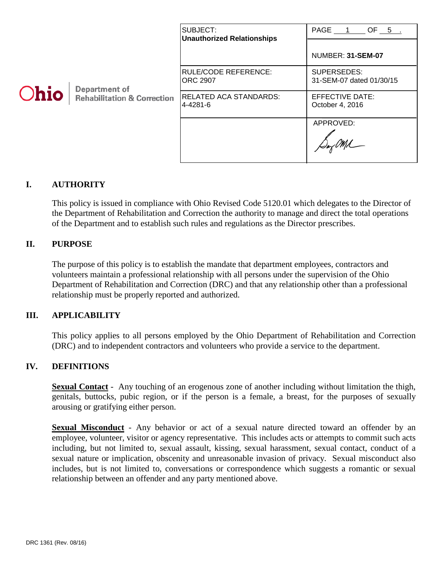|      |                                                         | SUBJECT:<br><b>Unauthorized Relationships</b> | PAGE 1 OF 5                               |
|------|---------------------------------------------------------|-----------------------------------------------|-------------------------------------------|
| Ohio | Department of<br><b>Rehabilitation &amp; Correction</b> |                                               | NUMBER: 31-SEM-07                         |
|      |                                                         | IRULE/CODE REFERENCE:<br><b>ORC 2907</b>      | SUPERSEDES:<br>31-SEM-07 dated 01/30/15   |
|      |                                                         | RELATED ACA STANDARDS:<br>4-4281-6            | <b>EFFECTIVE DATE:</b><br>October 4, 2016 |
|      |                                                         |                                               | APPROVED:                                 |

## **I. AUTHORITY**

This policy is issued in compliance with Ohio Revised Code 5120.01 which delegates to the Director of the Department of Rehabilitation and Correction the authority to manage and direct the total operations of the Department and to establish such rules and regulations as the Director prescribes.

## **II. PURPOSE**

The purpose of this policy is to establish the mandate that department employees, contractors and volunteers maintain a professional relationship with all persons under the supervision of the Ohio Department of Rehabilitation and Correction (DRC) and that any relationship other than a professional relationship must be properly reported and authorized.

#### **III. APPLICABILITY**

This policy applies to all persons employed by the Ohio Department of Rehabilitation and Correction (DRC) and to independent contractors and volunteers who provide a service to the department.

#### **IV. DEFINITIONS**

**Sexual Contact** - Any touching of an erogenous zone of another including without limitation the thigh, genitals, buttocks, pubic region, or if the person is a female, a breast, for the purposes of sexually arousing or gratifying either person.

**Sexual Misconduct** - Any behavior or act of a sexual nature directed toward an offender by an employee, volunteer, visitor or agency representative. This includes acts or attempts to commit such acts including, but not limited to, sexual assault, kissing, sexual harassment, sexual contact, conduct of a sexual nature or implication, obscenity and unreasonable invasion of privacy. Sexual misconduct also includes, but is not limited to, conversations or correspondence which suggests a romantic or sexual relationship between an offender and any party mentioned above.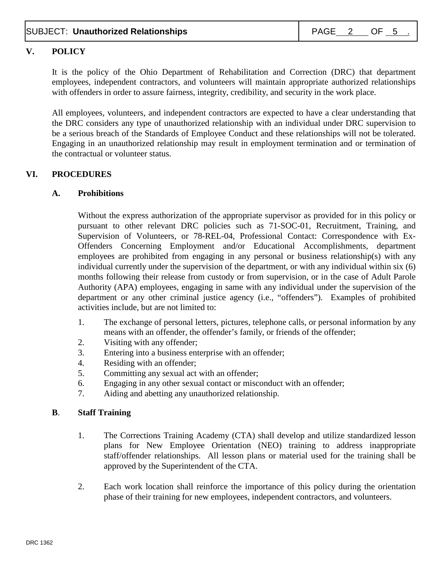# **V. POLICY**

It is the policy of the Ohio Department of Rehabilitation and Correction (DRC) that department employees, independent contractors, and volunteers will maintain appropriate authorized relationships with offenders in order to assure fairness, integrity, credibility, and security in the work place.

All employees, volunteers, and independent contractors are expected to have a clear understanding that the DRC considers any type of unauthorized relationship with an individual under DRC supervision to be a serious breach of the Standards of Employee Conduct and these relationships will not be tolerated. Engaging in an unauthorized relationship may result in employment termination and or termination of the contractual or volunteer status.

## **VI. PROCEDURES**

### **A. Prohibitions**

Without the express authorization of the appropriate supervisor as provided for in this policy or pursuant to other relevant DRC policies such as 71-SOC-01, Recruitment, Training, and Supervision of Volunteers, or 78-REL-04, Professional Contact: Correspondence with Ex-Offenders Concerning Employment and/or Educational Accomplishments, department employees are prohibited from engaging in any personal or business relationship(s) with any individual currently under the supervision of the department, or with any individual within six (6) months following their release from custody or from supervision, or in the case of Adult Parole Authority (APA) employees, engaging in same with any individual under the supervision of the department or any other criminal justice agency (i.e., "offenders"). Examples of prohibited activities include, but are not limited to:

- 1. The exchange of personal letters, pictures, telephone calls, or personal information by any means with an offender, the offender's family, or friends of the offender;
- 2. Visiting with any offender;
- 3. Entering into a business enterprise with an offender;
- 4. Residing with an offender;
- 5. Committing any sexual act with an offender;
- 6. Engaging in any other sexual contact or misconduct with an offender;
- 7. Aiding and abetting any unauthorized relationship.

#### **B**. **Staff Training**

- 1. The Corrections Training Academy (CTA) shall develop and utilize standardized lesson plans for New Employee Orientation (NEO) training to address inappropriate staff/offender relationships. All lesson plans or material used for the training shall be approved by the Superintendent of the CTA.
- 2. Each work location shall reinforce the importance of this policy during the orientation phase of their training for new employees, independent contractors, and volunteers.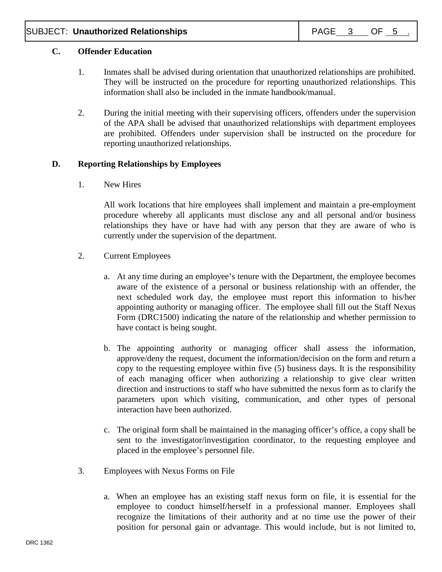## **C. Offender Education**

- 1. Inmates shall be advised during orientation that unauthorized relationships are prohibited. They will be instructed on the procedure for reporting unauthorized relationships. This information shall also be included in the inmate handbook/manual.
- 2. During the initial meeting with their supervising officers, offenders under the supervision of the APA shall be advised that unauthorized relationships with department employees are prohibited. Offenders under supervision shall be instructed on the procedure for reporting unauthorized relationships.

### **D. Reporting Relationships by Employees**

1. New Hires

All work locations that hire employees shall implement and maintain a pre-employment procedure whereby all applicants must disclose any and all personal and/or business relationships they have or have had with any person that they are aware of who is currently under the supervision of the department.

- 2. Current Employees
	- a. At any time during an employee's tenure with the Department, the employee becomes aware of the existence of a personal or business relationship with an offender, the next scheduled work day, the employee must report this information to his/her appointing authority or managing officer. The employee shall fill out the Staff Nexus Form (DRC1500) indicating the nature of the relationship and whether permission to have contact is being sought.
	- b. The appointing authority or managing officer shall assess the information, approve/deny the request, document the information/decision on the form and return a copy to the requesting employee within five (5) business days. It is the responsibility of each managing officer when authorizing a relationship to give clear written direction and instructions to staff who have submitted the nexus form as to clarify the parameters upon which visiting, communication, and other types of personal interaction have been authorized.
	- c. The original form shall be maintained in the managing officer's office, a copy shall be sent to the investigator/investigation coordinator, to the requesting employee and placed in the employee's personnel file.
- 3. Employees with Nexus Forms on File
	- a. When an employee has an existing staff nexus form on file, it is essential for the employee to conduct himself/herself in a professional manner. Employees shall recognize the limitations of their authority and at no time use the power of their position for personal gain or advantage. This would include, but is not limited to,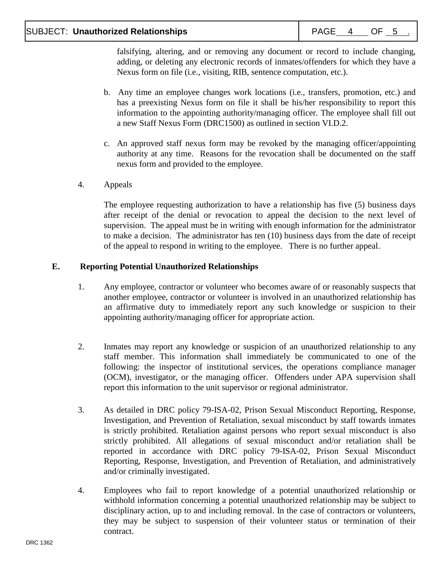falsifying, altering, and or removing any document or record to include changing, adding, or deleting any electronic records of inmates/offenders for which they have a Nexus form on file (i.e., visiting, RIB, sentence computation, etc.).

- b. Any time an employee changes work locations (i.e., transfers, promotion, etc.) and has a preexisting Nexus form on file it shall be his/her responsibility to report this information to the appointing authority/managing officer. The employee shall fill out a new Staff Nexus Form (DRC1500) as outlined in section VI.D.2.
- c. An approved staff nexus form may be revoked by the managing officer/appointing authority at any time. Reasons for the revocation shall be documented on the staff nexus form and provided to the employee.
- 4. Appeals

The employee requesting authorization to have a relationship has five (5) business days after receipt of the denial or revocation to appeal the decision to the next level of supervision. The appeal must be in writing with enough information for the administrator to make a decision. The administrator has ten (10) business days from the date of receipt of the appeal to respond in writing to the employee. There is no further appeal.

## **E. Reporting Potential Unauthorized Relationships**

- 1. Any employee, contractor or volunteer who becomes aware of or reasonably suspects that another employee, contractor or volunteer is involved in an unauthorized relationship has an affirmative duty to immediately report any such knowledge or suspicion to their appointing authority/managing officer for appropriate action.
- 2. Inmates may report any knowledge or suspicion of an unauthorized relationship to any staff member. This information shall immediately be communicated to one of the following: the inspector of institutional services, the operations compliance manager (OCM), investigator, or the managing officer. Offenders under APA supervision shall report this information to the unit supervisor or regional administrator.
- 3. As detailed in DRC policy 79-ISA-02, Prison Sexual Misconduct Reporting, Response, Investigation, and Prevention of Retaliation, sexual misconduct by staff towards inmates is strictly prohibited. Retaliation against persons who report sexual misconduct is also strictly prohibited. All allegations of sexual misconduct and/or retaliation shall be reported in accordance with DRC policy 79-ISA-02, Prison Sexual Misconduct Reporting, Response, Investigation, and Prevention of Retaliation, and administratively and/or criminally investigated.
- 4. Employees who fail to report knowledge of a potential unauthorized relationship or withhold information concerning a potential unauthorized relationship may be subject to disciplinary action, up to and including removal. In the case of contractors or volunteers, they may be subject to suspension of their volunteer status or termination of their contract.